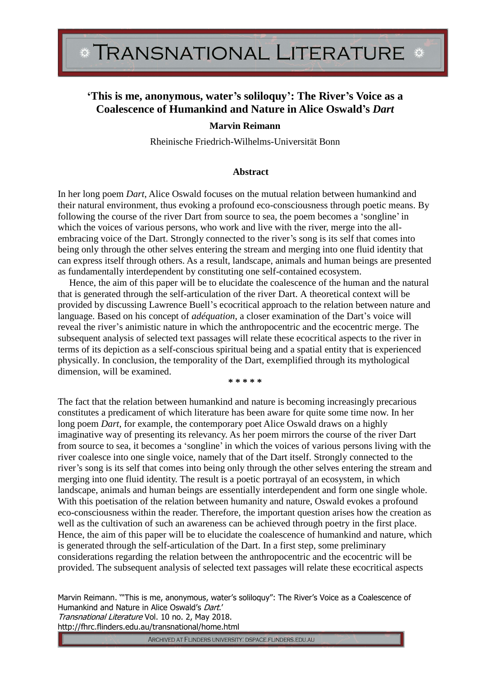## **'This is me, anonymous, water's soliloquy': The River's Voice as a Coalescence of Humankind and Nature in Alice Oswald's** *Dart*

## **Marvin Reimann**

Rheinische Friedrich-Wilhelms-Universität Bonn

## **Abstract**

In her long poem *Dart*, Alice Oswald focuses on the mutual relation between humankind and their natural environment, thus evoking a profound eco-consciousness through poetic means. By following the course of the river Dart from source to sea, the poem becomes a 'songline' in which the voices of various persons, who work and live with the river, merge into the allembracing voice of the Dart. Strongly connected to the river's song is its self that comes into being only through the other selves entering the stream and merging into one fluid identity that can express itself through others. As a result, landscape, animals and human beings are presented as fundamentally interdependent by constituting one self-contained ecosystem.

Hence, the aim of this paper will be to elucidate the coalescence of the human and the natural that is generated through the self-articulation of the river Dart. A theoretical context will be provided by discussing Lawrence Buell's ecocritical approach to the relation between nature and language. Based on his concept of *adéquation*, a closer examination of the Dart's voice will reveal the river's animistic nature in which the anthropocentric and the ecocentric merge. The subsequent analysis of selected text passages will relate these ecocritical aspects to the river in terms of its depiction as a self-conscious spiritual being and a spatial entity that is experienced physically. In conclusion, the temporality of the Dart, exemplified through its mythological dimension, will be examined.

**\* \* \* \* \***

The fact that the relation between humankind and nature is becoming increasingly precarious constitutes a predicament of which literature has been aware for quite some time now. In her long poem *Dart*, for example, the contemporary poet Alice Oswald draws on a highly imaginative way of presenting its relevancy. As her poem mirrors the course of the river Dart from source to sea, it becomes a 'songline' in which the voices of various persons living with the river coalesce into one single voice, namely that of the Dart itself. Strongly connected to the river's song is its self that comes into being only through the other selves entering the stream and merging into one fluid identity. The result is a poetic portrayal of an ecosystem, in which landscape, animals and human beings are essentially interdependent and form one single whole. With this poetisation of the relation between humanity and nature, Oswald evokes a profound eco-consciousness within the reader. Therefore, the important question arises how the creation as well as the cultivation of such an awareness can be achieved through poetry in the first place. Hence, the aim of this paper will be to elucidate the coalescence of humankind and nature, which is generated through the self-articulation of the Dart. In a first step, some preliminary considerations regarding the relation between the anthropocentric and the ecocentric will be provided. The subsequent analysis of selected text passages will relate these ecocritical aspects

Marvin Reimann. '"This is me, anonymous, water's soliloquy": The River's Voice as a Coalescence of Humankind and Nature in Alice Oswald's Dart.' Transnational Literature Vol. 10 no. 2, May 2018. http://fhrc.flinders.edu.au/transnational/home.html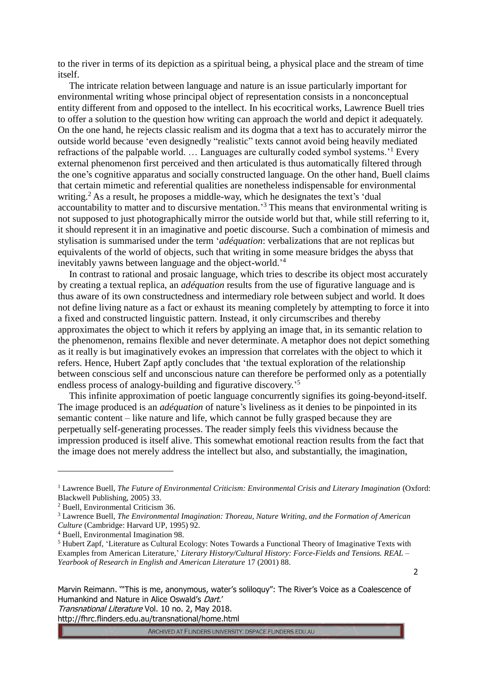to the river in terms of its depiction as a spiritual being, a physical place and the stream of time itself.

The intricate relation between language and nature is an issue particularly important for environmental writing whose principal object of representation consists in a nonconceptual entity different from and opposed to the intellect. In his ecocritical works, Lawrence Buell tries to offer a solution to the question how writing can approach the world and depict it adequately. On the one hand, he rejects classic realism and its dogma that a text has to accurately mirror the outside world because 'even designedly "realistic" texts cannot avoid being heavily mediated refractions of the palpable world. ... Languages are culturally coded symbol systems.'<sup>1</sup> Every external phenomenon first perceived and then articulated is thus automatically filtered through the one's cognitive apparatus and socially constructed language. On the other hand, Buell claims that certain mimetic and referential qualities are nonetheless indispensable for environmental writing.<sup>2</sup> As a result, he proposes a middle-way, which he designates the text's 'dual accountability to matter and to discursive mentation.<sup>3</sup> This means that environmental writing is not supposed to just photographically mirror the outside world but that, while still referring to it, it should represent it in an imaginative and poetic discourse. Such a combination of mimesis and stylisation is summarised under the term '*adéquation*: verbalizations that are not replicas but equivalents of the world of objects, such that writing in some measure bridges the abyss that inevitably yawns between language and the object-world.<sup>14</sup>

In contrast to rational and prosaic language, which tries to describe its object most accurately by creating a textual replica, an *adéquation* results from the use of figurative language and is thus aware of its own constructedness and intermediary role between subject and world. It does not define living nature as a fact or exhaust its meaning completely by attempting to force it into a fixed and constructed linguistic pattern. Instead, it only circumscribes and thereby approximates the object to which it refers by applying an image that, in its semantic relation to the phenomenon, remains flexible and never determinate. A metaphor does not depict something as it really is but imaginatively evokes an impression that correlates with the object to which it refers. Hence, Hubert Zapf aptly concludes that 'the textual exploration of the relationship between conscious self and unconscious nature can therefore be performed only as a potentially endless process of analogy-building and figurative discovery.<sup>55</sup>

This infinite approximation of poetic language concurrently signifies its going-beyond-itself. The image produced is an *adéquation* of nature's liveliness as it denies to be pinpointed in its semantic content – like nature and life, which cannot be fully grasped because they are perpetually self-generating processes. The reader simply feels this vividness because the impression produced is itself alive. This somewhat emotional reaction results from the fact that the image does not merely address the intellect but also, and substantially, the imagination,

<u>.</u>

2

Marvin Reimann. '"This is me, anonymous, water's soliloquy": The River's Voice as a Coalescence of Humankind and Nature in Alice Oswald's Dart.'

http://fhrc.flinders.edu.au/transnational/home.html

<sup>&</sup>lt;sup>1</sup> Lawrence Buell, *The Future of Environmental Criticism: Environmental Crisis and Literary Imagination (Oxford:* Blackwell Publishing, 2005) 33.

<sup>2</sup> Buell, Environmental Criticism 36.

<sup>3</sup> Lawrence Buell, *The Environmental Imagination: Thoreau, Nature Writing, and the Formation of American Culture* (Cambridge: Harvard UP, 1995) 92.

<sup>4</sup> Buell, Environmental Imagination 98.

<sup>5</sup> Hubert Zapf, 'Literature as Cultural Ecology: Notes Towards a Functional Theory of Imaginative Texts with Examples from American Literature,' *Literary History/Cultural History: Force-Fields and Tensions. REAL – Yearbook of Research in English and American Literature* 17 (2001) 88.

Transnational Literature Vol. 10 no. 2, May 2018.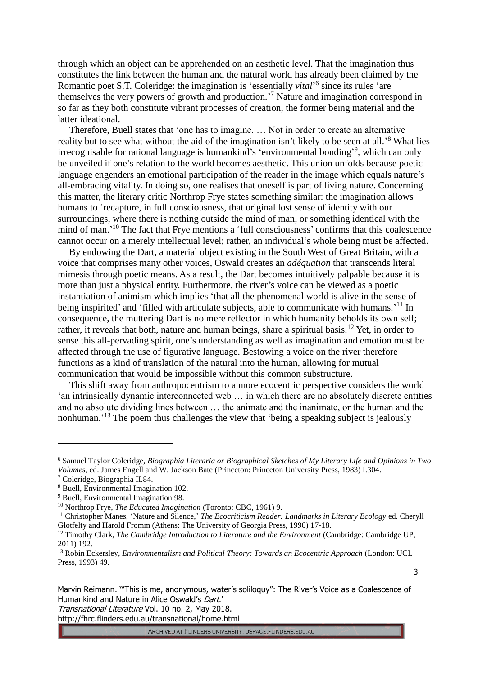through which an object can be apprehended on an aesthetic level. That the imagination thus constitutes the link between the human and the natural world has already been claimed by the Romantic poet S.T. Coleridge: the imagination is 'essentially *vital*<sup>'6</sup> since its rules 'are themselves the very powers of growth and production.<sup>7</sup> Nature and imagination correspond in so far as they both constitute vibrant processes of creation, the former being material and the latter ideational.

Therefore, Buell states that 'one has to imagine. … Not in order to create an alternative reality but to see what without the aid of the imagination isn't likely to be seen at all.<sup>8</sup> What lies irrecognisable for rational language is humankind's 'environmental bonding'<sup>9</sup>, which can only be unveiled if one's relation to the world becomes aesthetic. This union unfolds because poetic language engenders an emotional participation of the reader in the image which equals nature's all-embracing vitality. In doing so, one realises that oneself is part of living nature. Concerning this matter, the literary critic Northrop Frye states something similar: the imagination allows humans to 'recapture, in full consciousness, that original lost sense of identity with our surroundings, where there is nothing outside the mind of man, or something identical with the mind of man.<sup>'10</sup> The fact that Frye mentions a 'full consciousness' confirms that this coalescence cannot occur on a merely intellectual level; rather, an individual's whole being must be affected.

By endowing the Dart, a material object existing in the South West of Great Britain, with a voice that comprises many other voices, Oswald creates an *adéquation* that transcends literal mimesis through poetic means. As a result, the Dart becomes intuitively palpable because it is more than just a physical entity. Furthermore, the river's voice can be viewed as a poetic instantiation of animism which implies 'that all the phenomenal world is alive in the sense of being inspirited' and 'filled with articulate subjects, able to communicate with humans.'<sup>11</sup> In consequence, the muttering Dart is no mere reflector in which humanity beholds its own self; rather, it reveals that both, nature and human beings, share a spiritual basis.<sup>12</sup> Yet, in order to sense this all-pervading spirit, one's understanding as well as imagination and emotion must be affected through the use of figurative language. Bestowing a voice on the river therefore functions as a kind of translation of the natural into the human, allowing for mutual communication that would be impossible without this common substructure.

This shift away from anthropocentrism to a more ecocentric perspective considers the world 'an intrinsically dynamic interconnected web … in which there are no absolutely discrete entities and no absolute dividing lines between … the animate and the inanimate, or the human and the nonhuman.<sup>13</sup> The poem thus challenges the view that 'being a speaking subject is jealously

<u>.</u>

Marvin Reimann. '"This is me, anonymous, water's soliloquy": The River's Voice as a Coalescence of Humankind and Nature in Alice Oswald's Dart.'

Transnational Literature Vol. 10 no. 2, May 2018.

http://fhrc.flinders.edu.au/transnational/home.html

3

<sup>6</sup> Samuel Taylor Coleridge, *Biographia Literaria or Biographical Sketches of My Literary Life and Opinions in Two Volumes*, ed. James Engell and W. Jackson Bate (Princeton: Princeton University Press, 1983) I.304.

<sup>7</sup> Coleridge, Biographia II.84.

<sup>8</sup> Buell, Environmental Imagination 102.

<sup>9</sup> Buell, Environmental Imagination 98.

<sup>10</sup> Northrop Frye, *The Educated Imagination* (Toronto: CBC, 1961) 9.

<sup>&</sup>lt;sup>11</sup> Christopher Manes, 'Nature and Silence,' *The Ecocriticism Reader: Landmarks in Literary Ecology* ed. Cheryll Glotfelty and Harold Fromm (Athens: The University of Georgia Press, 1996) 17-18.

<sup>&</sup>lt;sup>12</sup> Timothy Clark, *The Cambridge Introduction to Literature and the Environment* (Cambridge: Cambridge UP, 2011) 192.

<sup>13</sup> Robin Eckersley, *Environmentalism and Political Theory: Towards an Ecocentric Approach* (London: UCL Press, 1993) 49.

ARCHIVED AT FLINDERS UNIVERSITY: DSPACE.FLINDERS.EDU.AU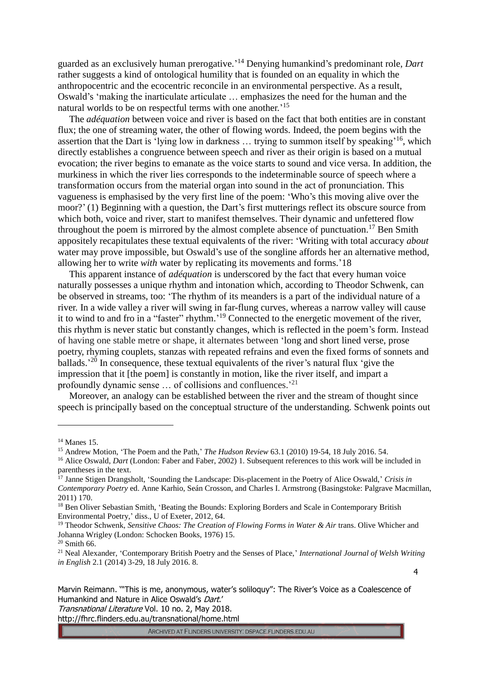guarded as an exclusively human prerogative.' <sup>14</sup> Denying humankind's predominant role, *Dart* rather suggests a kind of ontological humility that is founded on an equality in which the anthropocentric and the ecocentric reconcile in an environmental perspective. As a result, Oswald's 'making the inarticulate articulate … emphasizes the need for the human and the natural worlds to be on respectful terms with one another.' 15

The *adéquation* between voice and river is based on the fact that both entities are in constant flux; the one of streaming water, the other of flowing words. Indeed, the poem begins with the assertion that the Dart is 'lying low in darkness ... trying to summon itself by speaking<sup>16</sup>, which directly establishes a congruence between speech and river as their origin is based on a mutual evocation; the river begins to emanate as the voice starts to sound and vice versa. In addition, the murkiness in which the river lies corresponds to the indeterminable source of speech where a transformation occurs from the material organ into sound in the act of pronunciation. This vagueness is emphasised by the very first line of the poem: 'Who's this moving alive over the moor?' (1) Beginning with a question, the Dart's first mutterings reflect its obscure source from which both, voice and river, start to manifest themselves. Their dynamic and unfettered flow throughout the poem is mirrored by the almost complete absence of punctuation.<sup>17</sup> Ben Smith appositely recapitulates these textual equivalents of the river: 'Writing with total accuracy *about*  water may prove impossible, but Oswald's use of the songline affords her an alternative method, allowing her to write *with* water by replicating its movements and forms.'18

This apparent instance of *adéquation* is underscored by the fact that every human voice naturally possesses a unique rhythm and intonation which, according to Theodor Schwenk, can be observed in streams, too: 'The rhythm of its meanders is a part of the individual nature of a river. In a wide valley a river will swing in far-flung curves, whereas a narrow valley will cause it to wind to and fro in a "faster" rhythm.<sup>19</sup> Connected to the energetic movement of the river, this rhythm is never static but constantly changes, which is reflected in the poem's form. Instead of having one stable metre or shape, it alternates between 'long and short lined verse, prose poetry, rhyming couplets, stanzas with repeated refrains and even the fixed forms of sonnets and ballads.<sup>'20</sup> In consequence, these textual equivalents of the river's natural flux 'give the impression that it [the poem] is constantly in motion, like the river itself, and impart a profoundly dynamic sense ... of collisions and confluences.<sup>21</sup>

Moreover, an analogy can be established between the river and the stream of thought since speech is principally based on the conceptual structure of the understanding. Schwenk points out

<u>.</u>

Marvin Reimann. '"This is me, anonymous, water's soliloquy": The River's Voice as a Coalescence of Humankind and Nature in Alice Oswald's Dart.'

Transnational Literature Vol. 10 no. 2, May 2018.

http://fhrc.flinders.edu.au/transnational/home.html

 $14$  Manes 15.

<sup>&</sup>lt;sup>15</sup> Andrew Motion, 'The Poem and the Path,' *The Hudson Review* 63.1 (2010) 19-54, 18 July 2016. 54.

<sup>&</sup>lt;sup>16</sup> Alice Oswald, *Dart* (London: Faber and Faber, 2002) 1. Subsequent references to this work will be included in parentheses in the text.

<sup>17</sup> Janne Stigen Drangsholt, 'Sounding the Landscape: Dis-placement in the Poetry of Alice Oswald,' *Crisis in Contemporary Poetry* ed. Anne Karhio, Seán Crosson, and Charles I. Armstrong (Basingstoke: Palgrave Macmillan, 2011) 170.

<sup>&</sup>lt;sup>18</sup> Ben Oliver Sebastian Smith, 'Beating the Bounds: Exploring Borders and Scale in Contemporary British Environmental Poetry,' diss., U of Exeter, 2012, 64.

<sup>19</sup> Theodor Schwenk, *Sensitive Chaos: The Creation of Flowing Forms in Water & Air* trans. Olive Whicher and Johanna Wrigley (London: Schocken Books, 1976) 15.

 $20$  Smith 66.

<sup>21</sup> Neal Alexander, 'Contemporary British Poetry and the Senses of Place,' *International Journal of Welsh Writing in English* 2.1 (2014) 3-29, 18 July 2016. 8.

<sup>4</sup>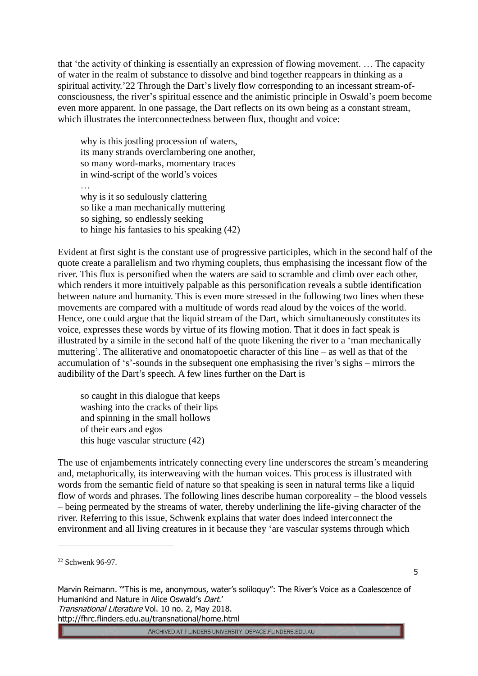that 'the activity of thinking is essentially an expression of flowing movement. … The capacity of water in the realm of substance to dissolve and bind together reappears in thinking as a spiritual activity.'22 Through the Dart's lively flow corresponding to an incessant stream-ofconsciousness, the river's spiritual essence and the animistic principle in Oswald's poem become even more apparent. In one passage, the Dart reflects on its own being as a constant stream, which illustrates the interconnectedness between flux, thought and voice:

why is this jostling procession of waters, its many strands overclambering one another, so many word-marks, momentary traces in wind-script of the world's voices … why is it so sedulously clattering so like a man mechanically muttering so sighing, so endlessly seeking to hinge his fantasies to his speaking (42)

Evident at first sight is the constant use of progressive participles, which in the second half of the quote create a parallelism and two rhyming couplets, thus emphasising the incessant flow of the river. This flux is personified when the waters are said to scramble and climb over each other, which renders it more intuitively palpable as this personification reveals a subtle identification between nature and humanity. This is even more stressed in the following two lines when these movements are compared with a multitude of words read aloud by the voices of the world. Hence, one could argue that the liquid stream of the Dart, which simultaneously constitutes its voice, expresses these words by virtue of its flowing motion. That it does in fact speak is illustrated by a simile in the second half of the quote likening the river to a 'man mechanically muttering'. The alliterative and onomatopoetic character of this line – as well as that of the accumulation of 's'-sounds in the subsequent one emphasising the river's sighs – mirrors the audibility of the Dart's speech. A few lines further on the Dart is

so caught in this dialogue that keeps washing into the cracks of their lips and spinning in the small hollows of their ears and egos this huge vascular structure (42)

The use of enjambements intricately connecting every line underscores the stream's meandering and, metaphorically, its interweaving with the human voices. This process is illustrated with words from the semantic field of nature so that speaking is seen in natural terms like a liquid flow of words and phrases. The following lines describe human corporeality – the blood vessels – being permeated by the streams of water, thereby underlining the life-giving character of the river. Referring to this issue, Schwenk explains that water does indeed interconnect the environment and all living creatures in it because they 'are vascular systems through which

<u>.</u>

5

Marvin Reimann. '"This is me, anonymous, water's soliloquy": The River's Voice as a Coalescence of Humankind and Nature in Alice Oswald's Dart.' Transnational Literature Vol. 10 no. 2, May 2018. http://fhrc.flinders.edu.au/transnational/home.html

<sup>&</sup>lt;sup>22</sup> Schwenk 96-97.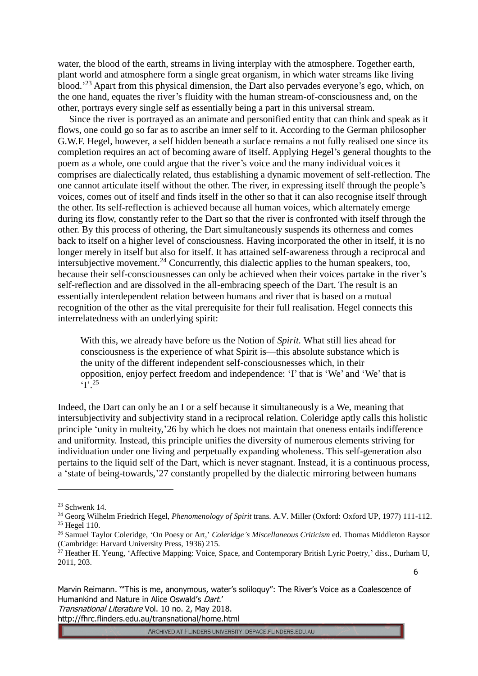water, the blood of the earth, streams in living interplay with the atmosphere. Together earth, plant world and atmosphere form a single great organism, in which water streams like living blood.<sup>23</sup> Apart from this physical dimension, the Dart also pervades everyone's ego, which, on the one hand, equates the river's fluidity with the human stream-of-consciousness and, on the other, portrays every single self as essentially being a part in this universal stream.

Since the river is portrayed as an animate and personified entity that can think and speak as it flows, one could go so far as to ascribe an inner self to it. According to the German philosopher G.W.F. Hegel, however, a self hidden beneath a surface remains a not fully realised one since its completion requires an act of becoming aware of itself. Applying Hegel's general thoughts to the poem as a whole, one could argue that the river's voice and the many individual voices it comprises are dialectically related, thus establishing a dynamic movement of self-reflection. The one cannot articulate itself without the other. The river, in expressing itself through the people's voices, comes out of itself and finds itself in the other so that it can also recognise itself through the other. Its self-reflection is achieved because all human voices, which alternately emerge during its flow, constantly refer to the Dart so that the river is confronted with itself through the other. By this process of othering, the Dart simultaneously suspends its otherness and comes back to itself on a higher level of consciousness. Having incorporated the other in itself, it is no longer merely in itself but also for itself. It has attained self-awareness through a reciprocal and intersubjective movement.<sup>24</sup> Concurrently, this dialectic applies to the human speakers, too, because their self-consciousnesses can only be achieved when their voices partake in the river's self-reflection and are dissolved in the all-embracing speech of the Dart. The result is an essentially interdependent relation between humans and river that is based on a mutual recognition of the other as the vital prerequisite for their full realisation. Hegel connects this interrelatedness with an underlying spirit:

With this, we already have before us the Notion of *Spirit.* What still lies ahead for consciousness is the experience of what Spirit is—this absolute substance which is the unity of the different independent self-consciousnesses which, in their opposition, enjoy perfect freedom and independence: 'I' that is 'We' and 'We' that is  $\cdot$  ['.<sup>25</sup>

Indeed, the Dart can only be an I or a self because it simultaneously is a We, meaning that intersubjectivity and subjectivity stand in a reciprocal relation. Coleridge aptly calls this holistic principle 'unity in multeity,'26 by which he does not maintain that oneness entails indifference and uniformity. Instead, this principle unifies the diversity of numerous elements striving for individuation under one living and perpetually expanding wholeness. This self-generation also pertains to the liquid self of the Dart, which is never stagnant. Instead, it is a continuous process, a 'state of being-towards,'27 constantly propelled by the dialectic mirroring between humans

<u>.</u>

Marvin Reimann. '"This is me, anonymous, water's soliloquy": The River's Voice as a Coalescence of Humankind and Nature in Alice Oswald's Dart.'

Transnational Literature Vol. 10 no. 2, May 2018.

http://fhrc.flinders.edu.au/transnational/home.html

<sup>23</sup> Schwenk 14.

<sup>24</sup> Georg Wilhelm Friedrich Hegel, *Phenomenology of Spirit* trans. A.V. Miller (Oxford: Oxford UP, 1977) 111-112.  $25$  Hegel 110.

<sup>26</sup> Samuel Taylor Coleridge, 'On Poesy or Art,' *Coleridge's Miscellaneous Criticism* ed. Thomas Middleton Raysor (Cambridge: Harvard University Press, 1936) 215.

<sup>&</sup>lt;sup>27</sup> Heather H. Yeung, 'Affective Mapping: Voice, Space, and Contemporary British Lyric Poetry,' diss., Durham U, 2011, 203.

<sup>6</sup>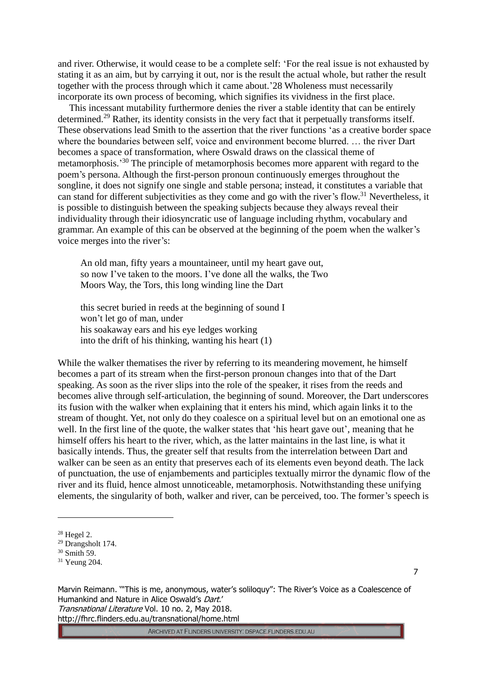and river. Otherwise, it would cease to be a complete self: 'For the real issue is not exhausted by stating it as an aim, but by carrying it out, nor is the result the actual whole, but rather the result together with the process through which it came about.'28 Wholeness must necessarily incorporate its own process of becoming, which signifies its vividness in the first place.

This incessant mutability furthermore denies the river a stable identity that can be entirely determined.<sup>29</sup> Rather, its identity consists in the very fact that it perpetually transforms itself. These observations lead Smith to the assertion that the river functions 'as a creative border space where the boundaries between self, voice and environment become blurred. … the river Dart becomes a space of transformation, where Oswald draws on the classical theme of metamorphosis.<sup>30</sup> The principle of metamorphosis becomes more apparent with regard to the poem's persona. Although the first-person pronoun continuously emerges throughout the songline, it does not signify one single and stable persona; instead, it constitutes a variable that can stand for different subjectivities as they come and go with the river's flow.<sup>31</sup> Nevertheless, it is possible to distinguish between the speaking subjects because they always reveal their individuality through their idiosyncratic use of language including rhythm, vocabulary and grammar. An example of this can be observed at the beginning of the poem when the walker's voice merges into the river's:

An old man, fifty years a mountaineer, until my heart gave out, so now I've taken to the moors. I've done all the walks, the Two Moors Way, the Tors, this long winding line the Dart

this secret buried in reeds at the beginning of sound I won't let go of man, under his soakaway ears and his eye ledges working into the drift of his thinking, wanting his heart (1)

While the walker thematises the river by referring to its meandering movement, he himself becomes a part of its stream when the first-person pronoun changes into that of the Dart speaking. As soon as the river slips into the role of the speaker, it rises from the reeds and becomes alive through self-articulation, the beginning of sound. Moreover, the Dart underscores its fusion with the walker when explaining that it enters his mind, which again links it to the stream of thought. Yet, not only do they coalesce on a spiritual level but on an emotional one as well. In the first line of the quote, the walker states that 'his heart gave out', meaning that he himself offers his heart to the river, which, as the latter maintains in the last line, is what it basically intends. Thus, the greater self that results from the interrelation between Dart and walker can be seen as an entity that preserves each of its elements even beyond death. The lack of punctuation, the use of enjambements and participles textually mirror the dynamic flow of the river and its fluid, hence almost unnoticeable, metamorphosis. Notwithstanding these unifying elements, the singularity of both, walker and river, can be perceived, too. The former's speech is

<u>.</u>

7

Marvin Reimann. '"This is me, anonymous, water's soliloquy": The River's Voice as a Coalescence of Humankind and Nature in Alice Oswald's Dart.' Transnational Literature Vol. 10 no. 2, May 2018.

http://fhrc.flinders.edu.au/transnational/home.html

<sup>28</sup> Hegel 2.

<sup>29</sup> Drangsholt 174.

 $30$  Smith 59.

<sup>31</sup> Yeung 204.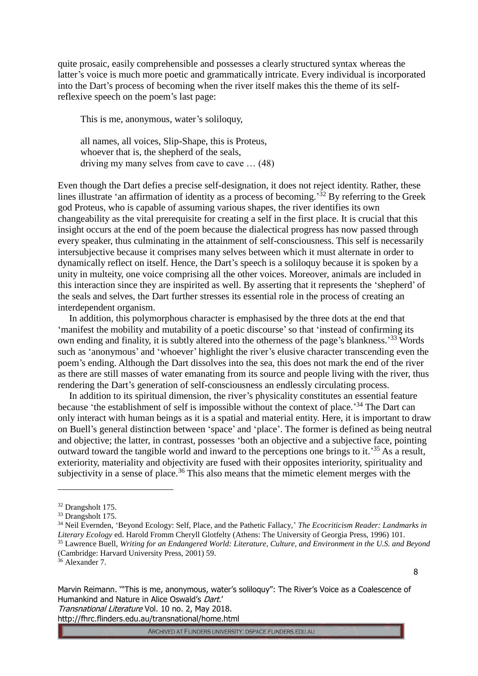quite prosaic, easily comprehensible and possesses a clearly structured syntax whereas the latter's voice is much more poetic and grammatically intricate. Every individual is incorporated into the Dart's process of becoming when the river itself makes this the theme of its selfreflexive speech on the poem's last page:

This is me, anonymous, water's soliloquy,

all names, all voices, Slip-Shape, this is Proteus, whoever that is, the shepherd of the seals, driving my many selves from cave to cave  $\dots$  (48)

Even though the Dart defies a precise self-designation, it does not reject identity. Rather, these lines illustrate 'an affirmation of identity as a process of becoming.<sup>32</sup> By referring to the Greek god Proteus, who is capable of assuming various shapes, the river identifies its own changeability as the vital prerequisite for creating a self in the first place. It is crucial that this insight occurs at the end of the poem because the dialectical progress has now passed through every speaker, thus culminating in the attainment of self-consciousness. This self is necessarily intersubjective because it comprises many selves between which it must alternate in order to dynamically reflect on itself. Hence, the Dart's speech is a soliloquy because it is spoken by a unity in multeity, one voice comprising all the other voices. Moreover, animals are included in this interaction since they are inspirited as well. By asserting that it represents the 'shepherd' of the seals and selves, the Dart further stresses its essential role in the process of creating an interdependent organism.

In addition, this polymorphous character is emphasised by the three dots at the end that 'manifest the mobility and mutability of a poetic discourse'so that 'instead of confirming its own ending and finality, it is subtly altered into the otherness of the page's blankness.<sup>33</sup> Words such as 'anonymous' and 'whoever' highlight the river's elusive character transcending even the poem's ending. Although the Dart dissolves into the sea, this does not mark the end of the river as there are still masses of water emanating from its source and people living with the river, thus rendering the Dart's generation of self-consciousness an endlessly circulating process.

In addition to its spiritual dimension, the river's physicality constitutes an essential feature because 'the establishment of self is impossible without the context of place.<sup>34</sup> The Dart can only interact with human beings as it is a spatial and material entity. Here, it is important to draw on Buell's general distinction between 'space' and 'place'. The former is defined as being neutral and objective; the latter, in contrast, possesses 'both an objective and a subjective face, pointing outward toward the tangible world and inward to the perceptions one brings to it.<sup>35</sup> As a result, exteriority, materiality and objectivity are fused with their opposites interiority, spirituality and subjectivity in a sense of place.<sup>36</sup> This also means that the mimetic element merges with the

<u>.</u>

8

Marvin Reimann. '"This is me, anonymous, water's soliloquy": The River's Voice as a Coalescence of Humankind and Nature in Alice Oswald's Dart.'

Transnational Literature Vol. 10 no. 2, May 2018.

http://fhrc.flinders.edu.au/transnational/home.html

<sup>32</sup> Drangsholt 175.

<sup>33</sup> Drangsholt 175.

<sup>34</sup> Neil Evernden, 'Beyond Ecology: Self, Place, and the Pathetic Fallacy,' *The Ecocriticism Reader: Landmarks in Literary Ecology* ed. Harold Fromm Cheryll Glotfelty (Athens: The University of Georgia Press, 1996) 101. <sup>35</sup> Lawrence Buell, *Writing for an Endangered World: Literature, Culture, and Environment in the U.S. and Beyond*  (Cambridge: Harvard University Press, 2001) 59.

<sup>&</sup>lt;sup>36</sup> Alexander 7.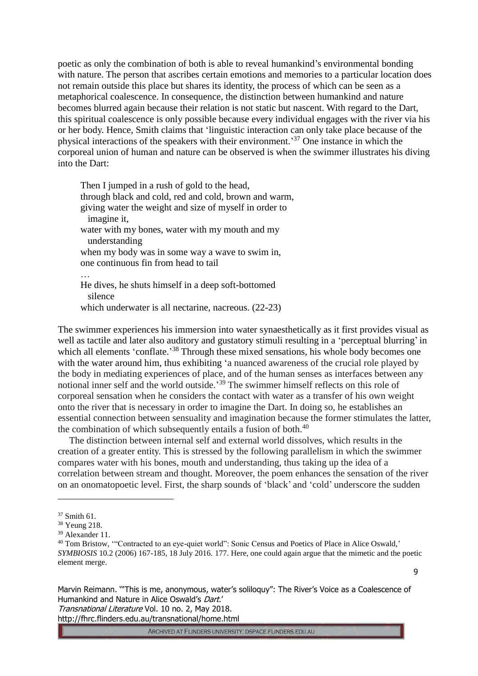poetic as only the combination of both is able to reveal humankind's environmental bonding with nature. The person that ascribes certain emotions and memories to a particular location does not remain outside this place but shares its identity, the process of which can be seen as a metaphorical coalescence. In consequence, the distinction between humankind and nature becomes blurred again because their relation is not static but nascent. With regard to the Dart, this spiritual coalescence is only possible because every individual engages with the river via his or her body. Hence, Smith claims that 'linguistic interaction can only take place because of the physical interactions of the speakers with their environment.<sup>37</sup> One instance in which the corporeal union of human and nature can be observed is when the swimmer illustrates his diving into the Dart:

Then I jumped in a rush of gold to the head, through black and cold, red and cold, brown and warm, giving water the weight and size of myself in order to imagine it, water with my bones, water with my mouth and my understanding when my body was in some way a wave to swim in, one continuous fin from head to tail … He dives, he shuts himself in a deep soft-bottomed silence which underwater is all nectarine, nacreous. (22-23)

The swimmer experiences his immersion into water synaesthetically as it first provides visual as well as tactile and later also auditory and gustatory stimuli resulting in a 'perceptual blurring' in which all elements 'conflate.'<sup>38</sup> Through these mixed sensations, his whole body becomes one with the water around him, thus exhibiting 'a nuanced awareness of the crucial role played by the body in mediating experiences of place, and of the human senses as interfaces between any notional inner self and the world outside.<sup>39</sup> The swimmer himself reflects on this role of corporeal sensation when he considers the contact with water as a transfer of his own weight onto the river that is necessary in order to imagine the Dart. In doing so, he establishes an essential connection between sensuality and imagination because the former stimulates the latter, the combination of which subsequently entails a fusion of both. $40$ 

The distinction between internal self and external world dissolves, which results in the creation of a greater entity. This is stressed by the following parallelism in which the swimmer compares water with his bones, mouth and understanding, thus taking up the idea of a correlation between stream and thought. Moreover, the poem enhances the sensation of the river on an onomatopoetic level. First, the sharp sounds of 'black' and 'cold' underscore the sudden

<u>.</u>

Marvin Reimann. '"This is me, anonymous, water's soliloquy": The River's Voice as a Coalescence of Humankind and Nature in Alice Oswald's Dart.'

Transnational Literature Vol. 10 no. 2, May 2018. http://fhrc.flinders.edu.au/transnational/home.html

<sup>37</sup> Smith 61.

<sup>38</sup> Yeung 218.

<sup>39</sup> Alexander 11.

<sup>&</sup>lt;sup>40</sup> Tom Bristow, "Contracted to an eye-quiet world": Sonic Census and Poetics of Place in Alice Oswald,' *SYMBIOSIS* 10.2 (2006) 167-185, 18 July 2016. 177. Here, one could again argue that the mimetic and the poetic element merge.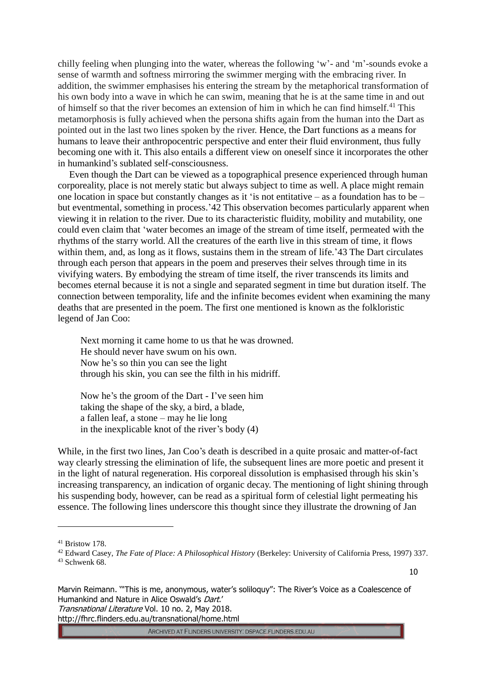chilly feeling when plunging into the water, whereas the following 'w'- and 'm'-sounds evoke a sense of warmth and softness mirroring the swimmer merging with the embracing river. In addition, the swimmer emphasises his entering the stream by the metaphorical transformation of his own body into a wave in which he can swim, meaning that he is at the same time in and out of himself so that the river becomes an extension of him in which he can find himself.<sup>41</sup> This metamorphosis is fully achieved when the persona shifts again from the human into the Dart as pointed out in the last two lines spoken by the river. Hence, the Dart functions as a means for humans to leave their anthropocentric perspective and enter their fluid environment, thus fully becoming one with it. This also entails a different view on oneself since it incorporates the other in humankind's sublated self-consciousness.

Even though the Dart can be viewed as a topographical presence experienced through human corporeality, place is not merely static but always subject to time as well. A place might remain one location in space but constantly changes as it 'is not entitative – as a foundation has to be – but eventmental, something in process.'42 This observation becomes particularly apparent when viewing it in relation to the river. Due to its characteristic fluidity, mobility and mutability, one could even claim that 'water becomes an image of the stream of time itself, permeated with the rhythms of the starry world. All the creatures of the earth live in this stream of time, it flows within them, and, as long as it flows, sustains them in the stream of life.'43 The Dart circulates through each person that appears in the poem and preserves their selves through time in its vivifying waters. By embodying the stream of time itself, the river transcends its limits and becomes eternal because it is not a single and separated segment in time but duration itself. The connection between temporality, life and the infinite becomes evident when examining the many deaths that are presented in the poem. The first one mentioned is known as the folkloristic legend of Jan Coo:

Next morning it came home to us that he was drowned. He should never have swum on his own. Now he's so thin you can see the light through his skin, you can see the filth in his midriff.

Now he's the groom of the Dart - I've seen him taking the shape of the sky, a bird, a blade, a fallen leaf, a stone – may he lie long in the inexplicable knot of the river's body (4)

While, in the first two lines, Jan Coo's death is described in a quite prosaic and matter-of-fact way clearly stressing the elimination of life, the subsequent lines are more poetic and present it in the light of natural regeneration. His corporeal dissolution is emphasised through his skin's increasing transparency, an indication of organic decay. The mentioning of light shining through his suspending body, however, can be read as a spiritual form of celestial light permeating his essence. The following lines underscore this thought since they illustrate the drowning of Jan

<u>.</u>

10

Marvin Reimann. '"This is me, anonymous, water's soliloquy": The River's Voice as a Coalescence of Humankind and Nature in Alice Oswald's Dart.' Transnational Literature Vol. 10 no. 2, May 2018.

http://fhrc.flinders.edu.au/transnational/home.html

<sup>41</sup> Bristow 178.

<sup>42</sup> Edward Casey, *The Fate of Place: A Philosophical History* (Berkeley: University of California Press, 1997) 337. <sup>43</sup> Schwenk 68.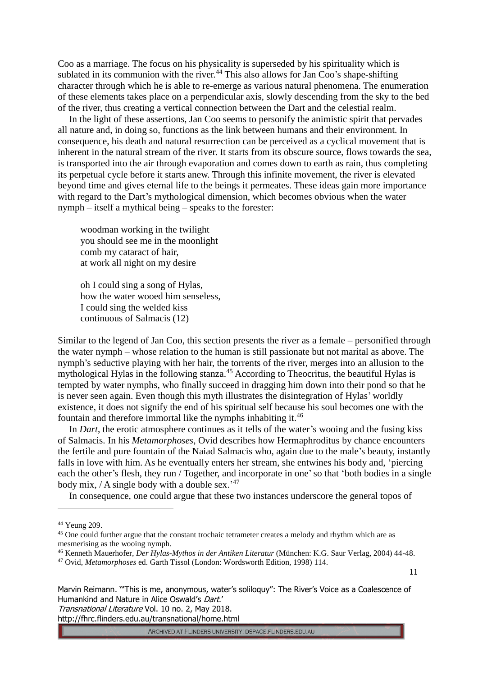Coo as a marriage. The focus on his physicality is superseded by his spirituality which is sublated in its communion with the river.<sup>44</sup> This also allows for Jan Coo's shape-shifting character through which he is able to re-emerge as various natural phenomena. The enumeration of these elements takes place on a perpendicular axis, slowly descending from the sky to the bed of the river, thus creating a vertical connection between the Dart and the celestial realm.

In the light of these assertions, Jan Coo seems to personify the animistic spirit that pervades all nature and, in doing so, functions as the link between humans and their environment. In consequence, his death and natural resurrection can be perceived as a cyclical movement that is inherent in the natural stream of the river. It starts from its obscure source, flows towards the sea, is transported into the air through evaporation and comes down to earth as rain, thus completing its perpetual cycle before it starts anew. Through this infinite movement, the river is elevated beyond time and gives eternal life to the beings it permeates. These ideas gain more importance with regard to the Dart's mythological dimension, which becomes obvious when the water nymph – itself a mythical being – speaks to the forester:

woodman working in the twilight you should see me in the moonlight comb my cataract of hair, at work all night on my desire

oh I could sing a song of Hylas, how the water wooed him senseless, I could sing the welded kiss continuous of Salmacis (12)

Similar to the legend of Jan Coo, this section presents the river as a female – personified through the water nymph – whose relation to the human is still passionate but not marital as above. The nymph's seductive playing with her hair, the torrents of the river, merges into an allusion to the mythological Hylas in the following stanza.<sup>45</sup> According to Theocritus, the beautiful Hylas is tempted by water nymphs, who finally succeed in dragging him down into their pond so that he is never seen again. Even though this myth illustrates the disintegration of Hylas' worldly existence, it does not signify the end of his spiritual self because his soul becomes one with the fountain and therefore immortal like the nymphs inhabiting it.<sup>46</sup>

In *Dart*, the erotic atmosphere continues as it tells of the water's wooing and the fusing kiss of Salmacis. In his *Metamorphoses*, Ovid describes how Hermaphroditus by chance encounters the fertile and pure fountain of the Naiad Salmacis who, again due to the male's beauty, instantly falls in love with him. As he eventually enters her stream, she entwines his body and, 'piercing each the other's flesh, they run / Together, and incorporate in one'so that 'both bodies in a single body mix, / A single body with a double sex.<sup>247</sup>

In consequence, one could argue that these two instances underscore the general topos of

1

11

Marvin Reimann. '"This is me, anonymous, water's soliloquy": The River's Voice as a Coalescence of Humankind and Nature in Alice Oswald's Dart.'

Transnational Literature Vol. 10 no. 2, May 2018.

http://fhrc.flinders.edu.au/transnational/home.html

<sup>44</sup> Yeung 209.

<sup>&</sup>lt;sup>45</sup> One could further argue that the constant trochaic tetrameter creates a melody and rhythm which are as mesmerising as the wooing nymph.

<sup>46</sup> Kenneth Mauerhofer, *Der Hylas-Mythos in der Antiken Literatur* (München: K.G. Saur Verlag, 2004) 44-48.

<sup>47</sup> Ovid, *Metamorphoses* ed. Garth Tissol (London: Wordsworth Edition, 1998) 114.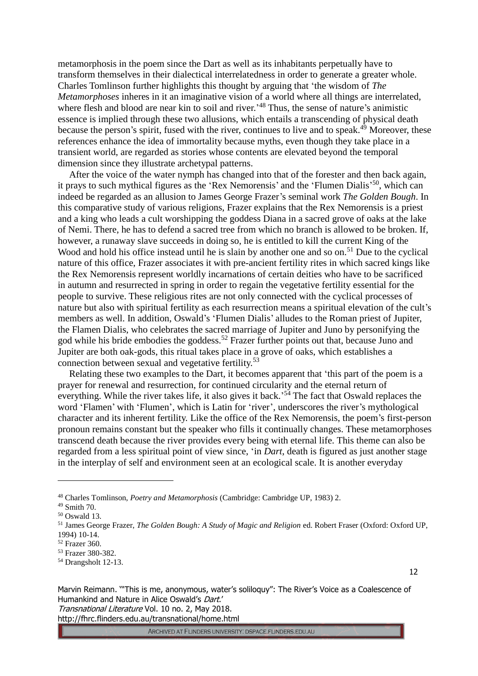metamorphosis in the poem since the Dart as well as its inhabitants perpetually have to transform themselves in their dialectical interrelatedness in order to generate a greater whole. Charles Tomlinson further highlights this thought by arguing that 'the wisdom of *The Metamorphoses* inheres in it an imaginative vision of a world where all things are interrelated, where flesh and blood are near kin to soil and river.<sup>48</sup> Thus, the sense of nature's animistic essence is implied through these two allusions, which entails a transcending of physical death because the person's spirit, fused with the river, continues to live and to speak.<sup>49</sup> Moreover, these references enhance the idea of immortality because myths, even though they take place in a transient world, are regarded as stories whose contents are elevated beyond the temporal dimension since they illustrate archetypal patterns.

After the voice of the water nymph has changed into that of the forester and then back again, it prays to such mythical figures as the 'Rex Nemorensis' and the 'Flumen Dialis'<sup>50</sup>, which can indeed be regarded as an allusion to James George Frazer's seminal work *The Golden Bough*. In this comparative study of various religions, Frazer explains that the Rex Nemorensis is a priest and a king who leads a cult worshipping the goddess Diana in a sacred grove of oaks at the lake of Nemi. There, he has to defend a sacred tree from which no branch is allowed to be broken. If, however, a runaway slave succeeds in doing so, he is entitled to kill the current King of the Wood and hold his office instead until he is slain by another one and so on.<sup>51</sup> Due to the cyclical nature of this office, Frazer associates it with pre-ancient fertility rites in which sacred kings like the Rex Nemorensis represent worldly incarnations of certain deities who have to be sacrificed in autumn and resurrected in spring in order to regain the vegetative fertility essential for the people to survive. These religious rites are not only connected with the cyclical processes of nature but also with spiritual fertility as each resurrection means a spiritual elevation of the cult's members as well. In addition, Oswald's 'Flumen Dialis' alludes to the Roman priest of Jupiter, the Flamen Dialis, who celebrates the sacred marriage of Jupiter and Juno by personifying the god while his bride embodies the goddess.<sup>52</sup> Frazer further points out that, because Juno and Jupiter are both oak-gods, this ritual takes place in a grove of oaks, which establishes a connection between sexual and vegetative fertility.<sup>53</sup>

Relating these two examples to the Dart, it becomes apparent that 'this part of the poem is a prayer for renewal and resurrection, for continued circularity and the eternal return of everything. While the river takes life, it also gives it back.<sup>54</sup> The fact that Oswald replaces the word 'Flamen' with 'Flumen', which is Latin for 'river', underscores the river's mythological character and its inherent fertility. Like the office of the Rex Nemorensis, the poem's first-person pronoun remains constant but the speaker who fills it continually changes. These metamorphoses transcend death because the river provides every being with eternal life. This theme can also be regarded from a less spiritual point of view since, 'in *Dart*, death is figured as just another stage in the interplay of self and environment seen at an ecological scale. It is another everyday

<u>.</u>

12

Marvin Reimann. '"This is me, anonymous, water's soliloquy": The River's Voice as a Coalescence of Humankind and Nature in Alice Oswald's Dart.'

Transnational Literature Vol. 10 no. 2, May 2018. http://fhrc.flinders.edu.au/transnational/home.html

<sup>48</sup> Charles Tomlinson, *Poetry and Metamorphosis* (Cambridge: Cambridge UP, 1983) 2.

<sup>49</sup> Smith 70.

<sup>50</sup> Oswald 13.

<sup>51</sup> James George Frazer, *The Golden Bough: A Study of Magic and Religion* ed. Robert Fraser (Oxford: Oxford UP, 1994) 10-14.

<sup>52</sup> Frazer 360.

<sup>53</sup> Frazer 380-382.

<sup>54</sup> Drangsholt 12-13.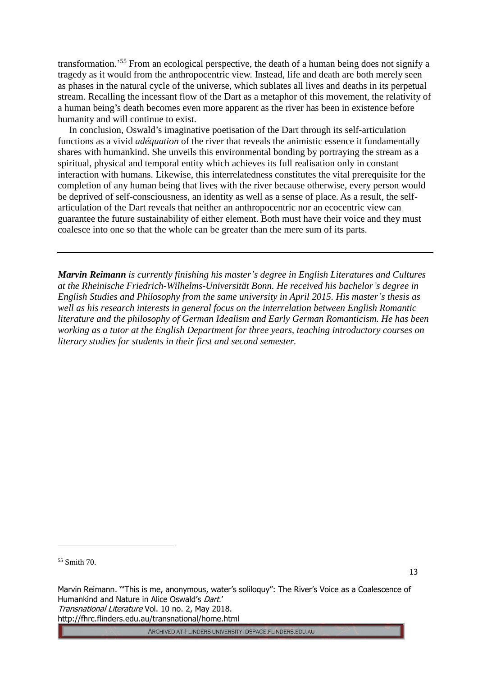transformation.' <sup>55</sup> From an ecological perspective, the death of a human being does not signify a tragedy as it would from the anthropocentric view. Instead, life and death are both merely seen as phases in the natural cycle of the universe, which sublates all lives and deaths in its perpetual stream. Recalling the incessant flow of the Dart as a metaphor of this movement, the relativity of a human being's death becomes even more apparent as the river has been in existence before humanity and will continue to exist.

In conclusion, Oswald's imaginative poetisation of the Dart through its self-articulation functions as a vivid *adéquation* of the river that reveals the animistic essence it fundamentally shares with humankind. She unveils this environmental bonding by portraying the stream as a spiritual, physical and temporal entity which achieves its full realisation only in constant interaction with humans. Likewise, this interrelatedness constitutes the vital prerequisite for the completion of any human being that lives with the river because otherwise, every person would be deprived of self-consciousness, an identity as well as a sense of place. As a result, the selfarticulation of the Dart reveals that neither an anthropocentric nor an ecocentric view can guarantee the future sustainability of either element. Both must have their voice and they must coalesce into one so that the whole can be greater than the mere sum of its parts.

*Marvin Reimann is currently finishing his master's degree in English Literatures and Cultures at the Rheinische Friedrich-Wilhelms-Universität Bonn. He received his bachelor's degree in English Studies and Philosophy from the same university in April 2015. His master's thesis as well as his research interests in general focus on the interrelation between English Romantic literature and the philosophy of German Idealism and Early German Romanticism. He has been working as a tutor at the English Department for three years, teaching introductory courses on literary studies for students in their first and second semester.*

<u>.</u>

13

Marvin Reimann. '"This is me, anonymous, water's soliloquy": The River's Voice as a Coalescence of Humankind and Nature in Alice Oswald's Dart.' Transnational Literature Vol. 10 no. 2, May 2018. http://fhrc.flinders.edu.au/transnational/home.html

<sup>55</sup> Smith 70.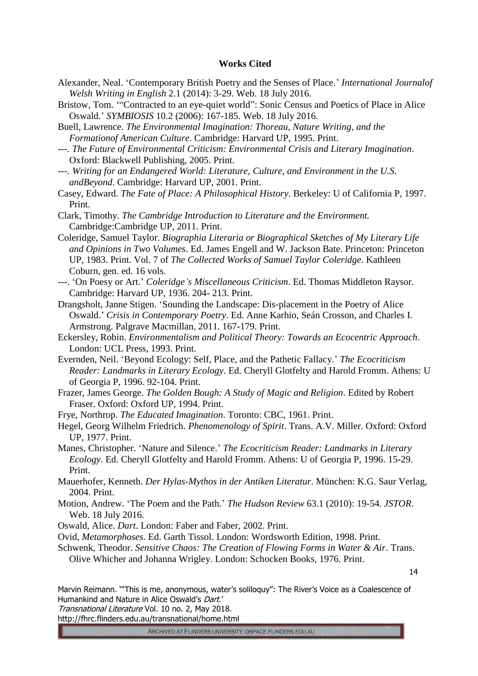## **Works Cited**

- Alexander, Neal. 'Contemporary British Poetry and the Senses of Place.' *International Journalof Welsh Writing in English* 2.1 (2014): 3-29. Web. 18 July 2016.
- Bristow, Tom. '"Contracted to an eye-quiet world": Sonic Census and Poetics of Place in Alice Oswald.' *SYMBIOSIS* 10.2 (2006): 167-185. Web. 18 July 2016.
- Buell, Lawrence. *The Environmental Imagination: Thoreau, Nature Writing, and the Formationof American Culture*. Cambridge: Harvard UP, 1995. Print.
- *---. The Future of Environmental Criticism: Environmental Crisis and Literary Imagination*. Oxford: Blackwell Publishing, 2005. Print.
- *---. Writing for an Endangered World: Literature, Culture, and Environment in the U.S. andBeyond*. Cambridge: Harvard UP, 2001. Print.
- Casey, Edward. *The Fate of Place: A Philosophical History*. Berkeley: U of California P, 1997. Print.
- Clark, Timothy. *The Cambridge Introduction to Literature and the Environment.*  Cambridge:Cambridge UP, 2011. Print.
- Coleridge, Samuel Taylor. *Biographia Literaria or Biographical Sketches of My Literary Life and Opinions in Two Volumes*. Ed. James Engell and W. Jackson Bate. Princeton: Princeton UP, 1983. Print. Vol. 7 of *The Collected Works of Samuel Taylor Coleridge*. Kathleen Coburn, gen. ed. 16 vols.
- ---. 'On Poesy or Art.' *Coleridge's Miscellaneous Criticism*. Ed. Thomas Middleton Raysor. Cambridge: Harvard UP, 1936. 204- 213. Print.
- Drangsholt, Janne Stigen. 'Sounding the Landscape: Dis-placement in the Poetry of Alice Oswald.' *Crisis in Contemporary Poetry*. Ed. Anne Karhio, Seán Crosson, and Charles I. Armstrong. Palgrave Macmillan, 2011. 167-179. Print.
- Eckersley, Robin. *Environmentalism and Political Theory: Towards an Ecocentric Approach*. London: UCL Press, 1993. Print.
- Evernden, Neil. 'Beyond Ecology: Self, Place, and the Pathetic Fallacy.' *The Ecocriticism Reader: Landmarks in Literary Ecology*. Ed. Cheryll Glotfelty and Harold Fromm. Athens: U of Georgia P, 1996. 92-104. Print.
- Frazer, James George. *The Golden Bough: A Study of Magic and Religion*. Edited by Robert Fraser. Oxford: Oxford UP, 1994. Print.
- Frye, Northrop. *The Educated Imagination*. Toronto: CBC, 1961. Print.
- Hegel, Georg Wilhelm Friedrich. *Phenomenology of Spirit*. Trans. A.V. Miller. Oxford: Oxford UP, 1977. Print.
- Manes, Christopher. 'Nature and Silence.' *The Ecocriticism Reader: Landmarks in Literary Ecology*. Ed. Cheryll Glotfelty and Harold Fromm. Athens: U of Georgia P, 1996. 15-29. Print.
- Mauerhofer, Kenneth. *Der Hylas-Mythos in der Antiken Literatur*. München: K.G. Saur Verlag, 2004. Print.
- Motion, Andrew. 'The Poem and the Path.' *The Hudson Review* 63.1 (2010): 19-54. *JSTOR*. Web. 18 July 2016.
- Oswald, Alice. *Dart*. London: Faber and Faber, 2002. Print.

Ovid, *Metamorphoses*. Ed. Garth Tissol. London: Wordsworth Edition, 1998. Print.

Schwenk, Theodor. *Sensitive Chaos: The Creation of Flowing Forms in Water & Air*. Trans. Olive Whicher and Johanna Wrigley. London: Schocken Books, 1976. Print.

14

Marvin Reimann. '"This is me, anonymous, water's soliloquy": The River's Voice as a Coalescence of Humankind and Nature in Alice Oswald's Dart.'

Transnational Literature Vol. 10 no. 2, May 2018.

http://fhrc.flinders.edu.au/transnational/home.html